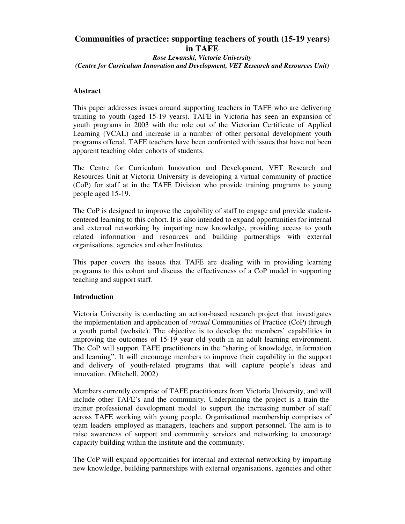# **Communities of practice: supporting teachers of youth (15-19 years) in TAFE**

*Rose Lewanski, Victoria University (Centre for Curriculum Innovation and Development, VET Research and Resources Unit)*

## **Abstract**

This paper addresses issues around supporting teachers in TAFE who are delivering training to youth (aged 15-19 years). TAFE in Victoria has seen an expansion of youth programs in 2003 with the role out of the Victorian Certificate of Applied Learning (VCAL) and increase in a number of other personal development youth programs offered. TAFE teachers have been confronted with issues that have not been apparent teaching older cohorts of students.

The Centre for Curriculum Innovation and Development, VET Research and Resources Unit at Victoria University is developing a virtual community of practice (CoP) for staff at in the TAFE Division who provide training programs to young people aged 15-19.

The CoP is designed to improve the capability of staff to engage and provide studentcentered learning to this cohort. It is also intended to expand opportunities for internal and external networking by imparting new knowledge, providing access to youth related information and resources and building partnerships with external organisations, agencies and other Institutes.

This paper covers the issues that TAFE are dealing with in providing learning programs to this cohort and discuss the effectiveness of a CoP model in supporting teaching and support staff.

# **Introduction**

Victoria University is conducting an action-based research project that investigates the implementation and application of *virtual* Communities of Practice (CoP) through a youth portal (website). The objective is to develop the members' capabilities in improving the outcomes of 15-19 year old youth in an adult learning environment. The CoP will support TAFE practitioners in the "sharing of knowledge, information and learning". It will encourage members to improve their capability in the support and delivery of youth-related programs that will capture people's ideas and innovation. (Mitchell, 2002)

Members currently comprise of TAFE practitioners from Victoria University, and will include other TAFE's and the community. Underpinning the project is a train-thetrainer professional development model to support the increasing number of staff across TAFE working with young people. Organisational membership comprises of team leaders employed as managers, teachers and support personnel. The aim is to raise awareness of support and community services and networking to encourage capacity building within the institute and the community.

The CoP will expand opportunities for internal and external networking by imparting new knowledge, building partnerships with external organisations, agencies and other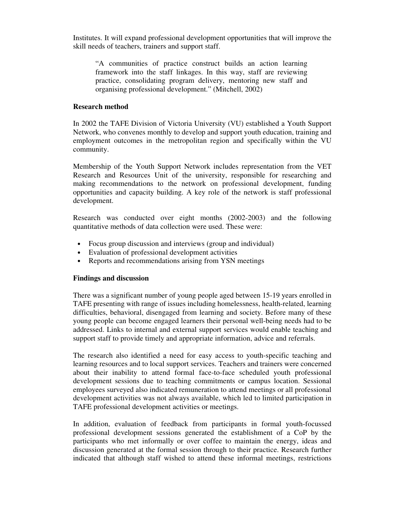Institutes. It will expand professional development opportunities that will improve the skill needs of teachers, trainers and support staff.

"A communities of practice construct builds an action learning framework into the staff linkages. In this way, staff are reviewing practice, consolidating program delivery, mentoring new staff and organising professional development." (Mitchell, 2002)

### **Research method**

In 2002 the TAFE Division of Victoria University (VU) established a Youth Support Network, who convenes monthly to develop and support youth education, training and employment outcomes in the metropolitan region and specifically within the VU community.

Membership of the Youth Support Network includes representation from the VET Research and Resources Unit of the university, responsible for researching and making recommendations to the network on professional development, funding opportunities and capacity building. A key role of the network is staff professional development.

Research was conducted over eight months (2002-2003) and the following quantitative methods of data collection were used. These were:

- Focus group discussion and interviews (group and individual)
- Evaluation of professional development activities
- Reports and recommendations arising from YSN meetings

#### **Findings and discussion**

There was a significant number of young people aged between 15-19 years enrolled in TAFE presenting with range of issues including homelessness, health-related, learning difficulties, behavioral, disengaged from learning and society. Before many of these young people can become engaged learners their personal well-being needs had to be addressed. Links to internal and external support services would enable teaching and support staff to provide timely and appropriate information, advice and referrals.

The research also identified a need for easy access to youth-specific teaching and learning resources and to local support services. Teachers and trainers were concerned about their inability to attend formal face-to-face scheduled youth professional development sessions due to teaching commitments or campus location. Sessional employees surveyed also indicated remuneration to attend meetings or all professional development activities was not always available, which led to limited participation in TAFE professional development activities or meetings.

In addition, evaluation of feedback from participants in formal youth-focussed professional development sessions generated the establishment of a CoP by the participants who met informally or over coffee to maintain the energy, ideas and discussion generated at the formal session through to their practice. Research further indicated that although staff wished to attend these informal meetings, restrictions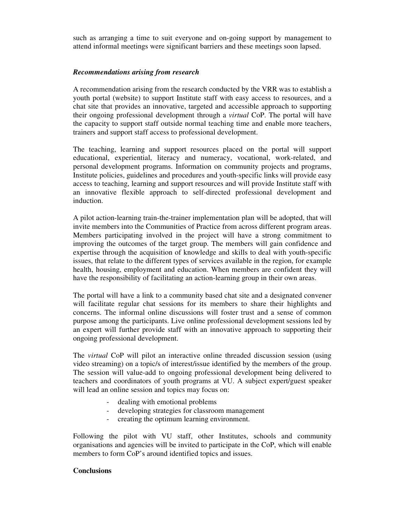such as arranging a time to suit everyone and on-going support by management to attend informal meetings were significant barriers and these meetings soon lapsed.

## *Recommendations arising from research*

A recommendation arising from the research conducted by the VRR was to establish a youth portal (website) to support Institute staff with easy access to resources, and a chat site that provides an innovative, targeted and accessible approach to supporting their ongoing professional development through a *virtual* CoP. The portal will have the capacity to support staff outside normal teaching time and enable more teachers, trainers and support staff access to professional development.

The teaching, learning and support resources placed on the portal will support educational, experiential, literacy and numeracy, vocational, work-related, and personal development programs. Information on community projects and programs, Institute policies, guidelines and procedures and youth-specific links will provide easy access to teaching, learning and support resources and will provide Institute staff with an innovative flexible approach to self-directed professional development and induction.

A pilot action-learning train-the-trainer implementation plan will be adopted, that will invite members into the Communities of Practice from across different program areas. Members participating involved in the project will have a strong commitment to improving the outcomes of the target group. The members will gain confidence and expertise through the acquisition of knowledge and skills to deal with youth-specific issues, that relate to the different types of services available in the region, for example health, housing, employment and education. When members are confident they will have the responsibility of facilitating an action-learning group in their own areas.

The portal will have a link to a community based chat site and a designated convener will facilitate regular chat sessions for its members to share their highlights and concerns. The informal online discussions will foster trust and a sense of common purpose among the participants. Live online professional development sessions led by an expert will further provide staff with an innovative approach to supporting their ongoing professional development.

The *virtual* CoP will pilot an interactive online threaded discussion session (using video streaming) on a topic/s of interest/issue identified by the members of the group. The session will value-add to ongoing professional development being delivered to teachers and coordinators of youth programs at VU. A subject expert/guest speaker will lead an online session and topics may focus on:

- dealing with emotional problems
- developing strategies for classroom management
- creating the optimum learning environment.

Following the pilot with VU staff, other Institutes, schools and community organisations and agencies will be invited to participate in the CoP, which will enable members to form CoP's around identified topics and issues.

#### **Conclusions**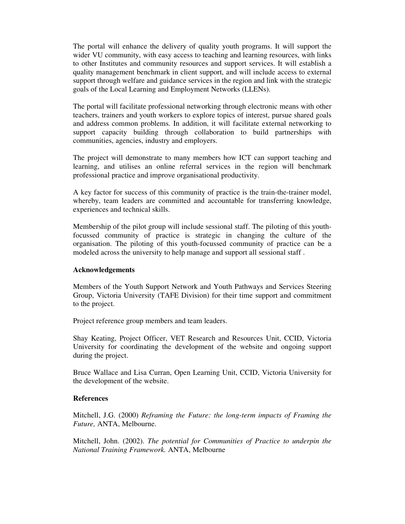The portal will enhance the delivery of quality youth programs. It will support the wider VU community, with easy access to teaching and learning resources, with links to other Institutes and community resources and support services. It will establish a quality management benchmark in client support, and will include access to external support through welfare and guidance services in the region and link with the strategic goals of the Local Learning and Employment Networks (LLENs).

The portal will facilitate professional networking through electronic means with other teachers, trainers and youth workers to explore topics of interest, pursue shared goals and address common problems. In addition, it will facilitate external networking to support capacity building through collaboration to build partnerships with communities, agencies, industry and employers.

The project will demonstrate to many members how ICT can support teaching and learning, and utilises an online referral services in the region will benchmark professional practice and improve organisational productivity.

A key factor for success of this community of practice is the train-the-trainer model, whereby, team leaders are committed and accountable for transferring knowledge, experiences and technical skills.

Membership of the pilot group will include sessional staff. The piloting of this youthfocussed community of practice is strategic in changing the culture of the organisation. The piloting of this youth-focussed community of practice can be a modeled across the university to help manage and support all sessional staff .

#### **Acknowledgements**

Members of the Youth Support Network and Youth Pathways and Services Steering Group, Victoria University (TAFE Division) for their time support and commitment to the project.

Project reference group members and team leaders.

Shay Keating, Project Officer, VET Research and Resources Unit, CCID, Victoria University for coordinating the development of the website and ongoing support during the project.

Bruce Wallace and Lisa Curran, Open Learning Unit, CCID, Victoria University for the development of the website.

# **References**

Mitchell, J.G. (2000) *Reframing the Future: the long-term impacts of Framing the Future,* ANTA, Melbourne.

Mitchell, John. (2002). *The potential for Communities of Practice to underpin the National Training Framework.* ANTA, Melbourne